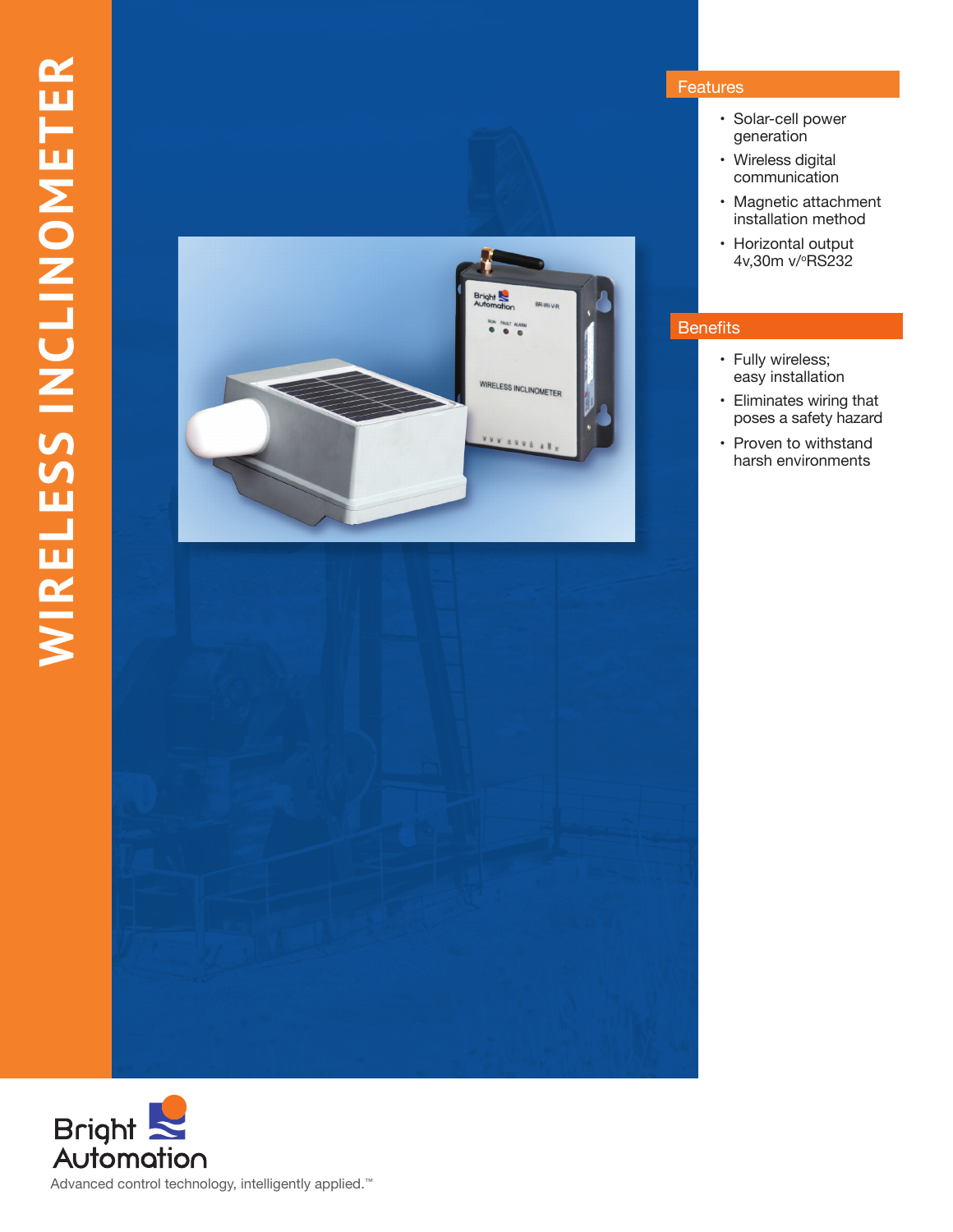

## Features

- • Solar-cell power generation
- Wireless digital communication
- Magnetic attachment installation method
- Horizontal output 4v,30m v/°RS232

# Benefits

- Fully wireless; easy installation
- • Eliminates wiring that poses a safety hazard
- Proven to withstand harsh environments